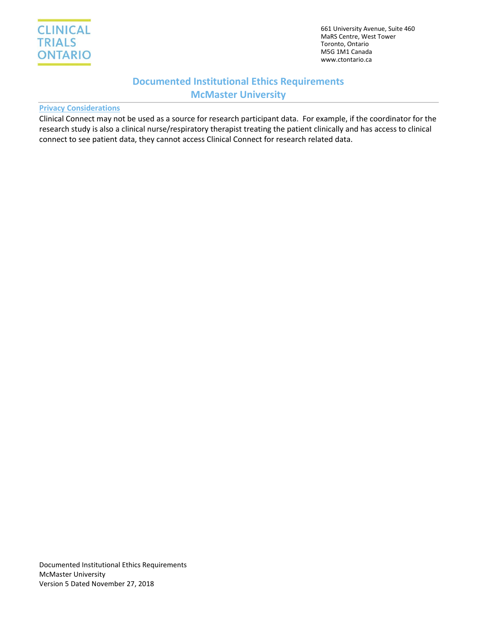

661 University Avenue, Suite 460 MaRS Centre, West Tower Toronto, Ontario M5G 1M1 Canada www.ctontario.ca

# **Documented Institutional Ethics Requirements McMaster University**

### **Privacy Considerations**

Clinical Connect may not be used as a source for research participant data. For example, if the coordinator for the research study is also a clinical nurse/respiratory therapist treating the patient clinically and has access to clinical connect to see patient data, they cannot access Clinical Connect for research related data.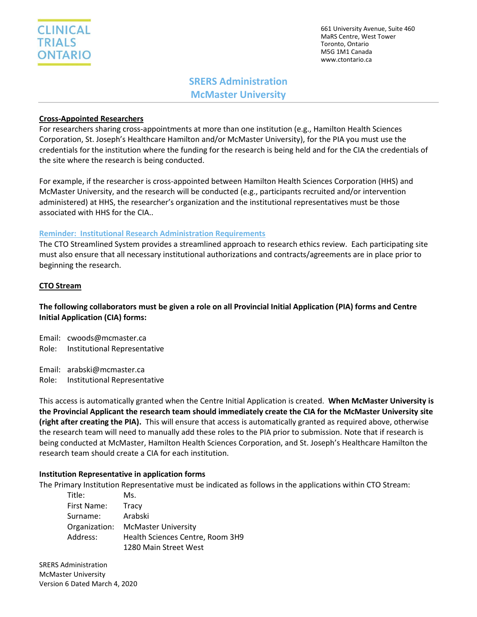661 University Avenue, Suite 460 MaRS Centre, West Tower Toronto, Ontario M5G 1M1 Canada www.ctontario.ca

# **SRERS Administration McMaster University**

### **Cross-Appointed Researchers**

For researchers sharing cross-appointments at more than one institution (e.g., Hamilton Health Sciences Corporation, St. Joseph's Healthcare Hamilton and/or McMaster University), for the PIA you must use the credentials for the institution where the funding for the research is being held and for the CIA the credentials of the site where the research is being conducted.

For example, if the researcher is cross-appointed between Hamilton Health Sciences Corporation (HHS) and McMaster University, and the research will be conducted (e.g., participants recruited and/or intervention administered) at HHS, the researcher's organization and the institutional representatives must be those associated with HHS for the CIA..

#### **Reminder: Institutional Research Administration Requirements**

The CTO Streamlined System provides a streamlined approach to research ethics review. Each participating site must also ensure that all necessary institutional authorizations and contracts/agreements are in place prior to beginning the research.

## **CTO Stream**

# **The following collaborators must be given a role on all Provincial Initial Application (PIA) forms and Centre Initial Application (CIA) forms:**

Email: cwoods@mcmaster.ca Role: Institutional Representative

Email: arabski@mcmaster.ca

Role: Institutional Representative

This access is automatically granted when the Centre Initial Application is created. **When McMaster University is the Provincial Applicant the research team should immediately create the CIA for the McMaster University site (right after creating the PIA).** This will ensure that access is automatically granted as required above, otherwise the research team will need to manually add these roles to the PIA prior to submission. Note that if research is being conducted at McMaster, Hamilton Health Sciences Corporation, and St. Joseph's Healthcare Hamilton the research team should create a CIA for each institution.

#### **Institution Representative in application forms**

The Primary Institution Representative must be indicated as follows in the applications within CTO Stream:

| Title:        | Ms.                              |
|---------------|----------------------------------|
| First Name:   | Tracy                            |
| Surname:      | Arabski                          |
| Organization: | <b>McMaster University</b>       |
| Address:      | Health Sciences Centre, Room 3H9 |
|               | 1280 Main Street West            |

SRERS Administration McMaster University Version 6 Dated March 4, 2020